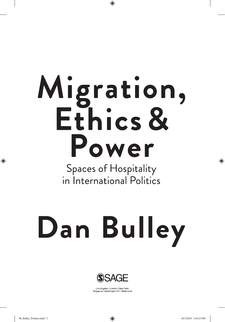# Migration,<br>Ethics & Power

◈

**Spaces of Hospitality** in International Politics

Dan Bulley



Los Angeles | London | New Delhi<br>Singapore | Washington DC | Melbourne

◈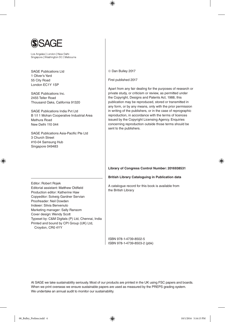

Los Angeles | London | New Delhi Singapore | Washington DC | Melbourne

SAGE Publications Ltd 1 Oliver's Yard 55 City Road London EC1Y 1SP

SAGE Publications Inc. 2455 Teller Road Thousand Oaks, California 91320

SAGE Publications India Pvt Ltd B 1/I 1 Mohan Cooperative Industrial Area Mathura Road New Delhi 110 044

SAGE Publications Asia-Pacific Pte Ltd 3 Church Street #10-04 Samsung Hub Singapore 049483

Editor: Robert Rojek

◈

Dan Bulley 2017

⊕

First published 2017

Apart from any fair dealing for the purposes of research or private study, or criticism or review, as permitted under the Copyright, Designs and Patents Act, 1988, this publication may be reproduced, stored or transmitted in any form, or by any means, only with the prior permission in writing of the publishers, or in the case of reprographic reproduction, in accordance with the terms of licences issued by the Copyright Licensing Agency. Enquiries concerning reproduction outside those terms should be sent to the publishers.

### **Library of Congress Control Number: 2016938531**

**British Library Cataloguing in Publication data**

A catalogue record for this book is available from the British Library

ISBN 978-1-4739-8502-5 ISBN 978-1-4739-8503-2 (pbk)

At SAGE we take sustainability seriously. Most of our products are printed in the UK using FSC papers and boards. When we print overseas we ensure sustainable papers are used as measured by the PREPS grading system. We undertake an annual audit to monitor our sustainability.

Production editor: Katherine Haw Copyeditor: Solveig Gardner Servian Proofreader: Neil Dowden Indexer: Silvia Benvenuto Marketing manager: Sally Ransom Cover design: Wendy Scott Typeset by: C&M Digitals (P) Ltd, Chennai, India Printed and bound by CPI Group (UK) Ltd, Croydon, CR0 4YY

Editorial assistant: Matthew Oldfield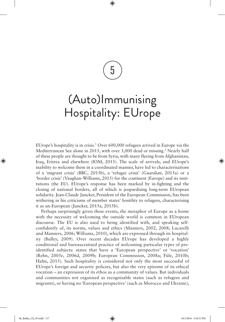5

⊕

# (Auto)Immunising Hospitality: EUrope

EUrope's hospitality is in crisis.<sup>1</sup> Over 600,000 refugees arrived in Europe via the Mediterranean Sea alone in 2015, with over 3,000 dead or missing.<sup>2</sup> Nearly half of these people are thought to be from Syria, with many fleeing from Afghanistan, Iraq, Eritrea and elsewhere (IOM, 2015). The scale of arrivals, and EUrope's inability to welcome them in a coordinated manner, have led to characterisations of a 'migrant crisis' (BBC, 2015b), a 'refugee crisis' (*Guardian*, 2015a) or a 'border crisis' (Vaughan-Williams, 2015) for the continent (Europe) and its institutions (the EU). EUrope's response has been marked by in-fighting and the closing of national borders, all of which is jeopardising long-term EUropean solidarity. Jean-Claude Juncker, President of the European Commission, has been withering in his criticisms of member states' hostility to refugees, characterising it as un-European (Juncker, 2015a, 2015b).

Perhaps surprisingly given these events, the metaphor of Europe as a home with the necessity of welcoming the outside world is common in EUropean discourse. The EU is also used to being identified with, and speaking selfconfidently of, its norms, values and ethics (Manners, 2002, 2008; Lucarelli and Manners, 2006; Williams, 2010), which are expressed through its hospitality (Bulley, 2009). Over recent decades EUrope has developed a highly conditional and bureaucratised practice of welcoming particular types of preidentified subjects: states that have a 'European perspective' or 'vocation' (Rehn, 2005e, 2006d, 2009b; European Commission, 2008a; Füle, 2010b; Hahn, 2015). Such hospitality is considered not only the most successful of EUrope's foreign and security policies, but also the very epitome of its ethical vocation – an expression of its ethos as a community of values. But individuals and communities not organised as recognisable states (such as refugees and migrants), or having no 'European perspective' (such as Morocco and Ukraine),

⊕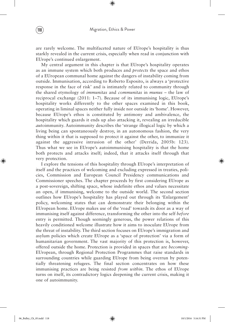are rarely welcome. The multifaceted nature of EUrope's hospitality is thus starkly revealed in the current crisis, especially when read in conjunction with EUrope's continued enlargement.

My central argument in this chapter is that EUrope's hospitality operates as an immune system which both produces and *protects* the space and ethos of a EUropean communal home against the dangers of instability coming from outside. Immunisation, according to Roberto Esposito, is always a 'protective response in the face of risk' and is intimately related to community through the shared etymology of *immunitas* and *communitas* in *munus –* the law of reciprocal exchange (2011: 1–7). Because of its immunising logic, EUrope's hospitality works differently to the other spaces examined in this book, operating in liminal spaces neither fully inside nor outside its 'home'. However, because EUrope's ethos is constituted by antimony and ambivalence, the hospitality which guards it ends up also attacking it, revealing an irreducible *auto*immunity. Autoimmunity describes the 'strange illogical logic by which a living being can spontaneously destroy, in an autonomous fashion, the very thing within it that is supposed to protect it against the other, to immunize it against the aggressive intrusion of the other' (Derrida, 2005b: 123). Thus what we see in EUrope's autoimmunising hospitality is that the home both protects and attacks itself; indeed, that it attacks itself through that very protection.

I explore the tensions of this hospitality through EUrope's interpretation of itself and the practices of welcoming and excluding expressed in treaties, policies, Commission and European Council Presidency communications and Commissioner speeches. The chapter proceeds by first considering EUrope as a post-sovereign, shifting space, whose indefinite ethos and values necessitate an open, if immunising, welcome to the outside world. The second section outlines how EUrope's hospitality has played out through its 'Enlargement' policy, welcoming states that can demonstrate their belonging within the EUropean home. EUrope makes use of the 'road' towards its door as a way of immunising itself against difference, transforming the other into the self *before*  entry is permitted. Though seemingly generous, the power relations of this heavily conditioned welcome illustrate how it aims to inoculate EUrope from the threat of instability. The third section focuses on EUrope's immigration and asylum policies which create EUrope as a 'space of protection' via a form of humanitarian government. The vast majority of this protection is, however, offered outside the home. Protection is provided in spaces that are *becoming-*EUropean, through Regional Protection Programmes that raise standards in surrounding countries while guarding EUrope from being overrun by potentially threatening refugees. The final section concentrates on how these immunising practices are being resisted *from within.* The ethos of EUrope turns on itself, its contradictory logics deepening the current crisis, making it one of autoimmunity.

◈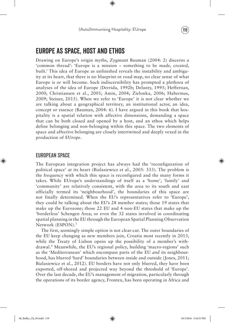# EUrope as Space, Host and Ethos

Drawing on Europe's origin myths, Zygmunt Bauman (2004: 2) discerns a 'common thread': 'Europe is a mission – something to be made, created, built.' This idea of Europe as unfinished reveals the instability and ambiguity at its heart, that there is no blueprint or road map, no clear sense of what Europe is or will become. Such indiscernibility has prompted a plethora of analyses of the idea of Europe (Derrida, 1992b; Delanty, 1995; Heffernan, 2000; Christiansen et al., 2001; Amin, 2004; Zielonka, 2006; Habermas, 2009; Steiner, 2015). When we refer to 'Europe' it is not clear whether we are talking about a geographical territory, an institutional actor, an idea, concept or essence (Bauman, 2004: 6). I have argued in this book that hospitality is a spatial relation with affective dimensions, demanding a space that can be both closed and opened by a host, and an ethos which helps define belonging and non-belonging within this space. The two elements of space and affective belonging are closely intertwined and deeply vexed in the production of EUrope.

# EUropean Space

◈

The European integration project has always had the 'reconfiguration of political space' at its heart (Bialasiewicz et al., 2005: 333). The problem is the frequency with which this space is reconfigured and the many forms it takes. While EUrope's understandings of itself as a 'home', 'family' and 'community' are relatively consistent, with the area to its south and east officially termed its 'neighbourhood', the boundaries of this space are not finally determined. When the EU's representatives refer to 'Europe', they could be talking about the EU's 28 member states; those 19 states that make up the Eurozone; those 22 EU and 4 non-EU states that make up the 'borderless' Schengen Area; or even the 32 states involved in coordinating spatial planning in the EU through the European Spatial Planning Observation Network (ESPON).3

The first, seemingly simple option is not clear-cut. The outer boundaries of the EU keep changing as new members join, Croatia most recently in 2013, while the Treaty of Lisbon opens up the possibility of a member's withdrawal.4 Meanwhile, the EU's regional policy, building 'macro-regions' such as the 'Mediterranean' which encompass parts of the EU *and* its neighbourhood, has blurred 'hard' boundaries between inside and outside (Jones, 2011; Bialasiewicz et al., 2012). EU borders have not only blurred, they have been exported, off-shored and projected way beyond the threshold of 'Europe'. Over the last decade, the EU's management of migration, particularly through the operations of its border agency, Frontex, has been operating in Africa and

06\_Bulley\_Ch\_05.indd 119 10/1/2016 5:16:31 PM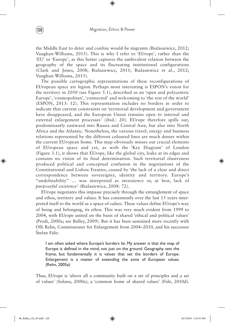the Middle East to deter and confine would-be migrants (Bialasiewicz, 2012; Vaughan-Williams, 2015). This is why I refer to 'EUrope', rather than the 'EU' or 'Europe', as this better captures the ambivalent relation between the geography of the space and its fluctuating institutional configurations (Clark and Jones, 2008; Bialasiewicz, 2011; Bialasiewicz et al., 2012; Vaughan-Williams, 2015).

The possible cartographic representations of these reconfigurations of EUropean space are legion. Perhaps most interesting is ESPON's vision for the territory in 2050 (see Figure 5.1), described as an 'open and polycentric Europe', 'cosmopolitan', 'connected' and welcoming to 'the rest of the world' (ESPON, 2013: 12). This representation includes no borders in order to indicate that current constraints on 'territorial development and government have disappeared, and the European Union remains open to internal and external enlargement processes' (ibid.: 20). EUrope therefore spills out, predominantly eastward into Russia and Central Asia, but also into North Africa and the Atlantic. Nonetheless, the various travel, energy and business relations represented by the different coloured lines are much denser within the current EUropean home. This map obviously misses out crucial elements of EUropean space and yet, as with the 'Key Diagram' of London (Figure 3.1), it shows that EUrope, like the global city, leaks at its edges and contains no vision of its final determination. Such territorial elusiveness produced political and conceptual confusion in the negotiations of the Constitutional and Lisbon Treaties, caused by 'the lack of a clear and direct correspondence between sovereignty, identity and territory. Europe's "undefinability" … was interpreted as *inexistence* or, at best, lack of *purposeful existence'* (Bialasiewicz, 2008: 72).

EUrope negotiates this impasse precisely through the entanglement of space and ethos, territory and values. It has consistently over the last 15 years interpreted itself to the world as a space of *values*. These values define EUrope's way of being and belonging, its ethos. This was very much evident from 1999 to 2004, with EUrope united on the basis of shared 'ethical and political values' (Prodi, 2000a; see Bulley, 2009). But it has been sustained more recently with Olli Rehn, Commissioner for Enlargement from 2004–2010, and his successor Štefan Füle:

I am often asked where Europe's borders lie. My answer is that the map of Europe is defined in the mind, not just on the ground. Geography sets the frame, but fundamentally it is values that set the borders of Europe. Enlargement is a matter of extending the zone of European values. (Rehn, 2005a)

Thus, EUrope is 'above all a community built on a set of principles and a set of values' (Solana, 2000a), a 'common home of shared values' (Füle, 2010d).

◈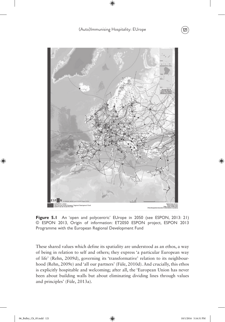(Auto)Immunising Hospitality: EUrope (121)

⊕



Figure 5.1 An 'open and polycentric' EUrope in 2050 (see ESPON, 2013: 21) © ESPON 2013, Origin of information: ET2050 ESPON project, ESPON 2013 Programme with the European Regional Development Fund

These shared values which define its spatiality are understood as an ethos, a way of being in relation to self and others; they express 'a particular European way of life' (Rehn, 2009d), governing its 'transformative' relation to its neighbourhood (Rehn, 2009e) and 'all our partners' (Füle, 2010d). And crucially, this ethos is explicitly hospitable and welcoming; after all, the 'European Union has never been about building walls but about eliminating dividing lines through values and principles' (Füle, 2013a).

⊕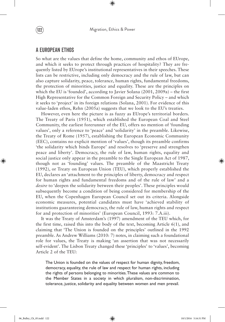Migration, Ethics & Power 122

⊕

# A EUropean Ethos

So what are the values that define the home, community and ethos of EUrope, and which it seeks to protect through practices of hospitality? They are frequently listed by EUrope's institutional representatives in their speeches. These lists can be restrictive, including only democracy and the rule of law, but can also capture solidarity, peace, tolerance, human rights, fundamental freedoms, the protection of minorities, justice and equality. These are the principles on which the EU is 'founded', according to Javier Solana (2001, 2009a) – the first High Representative for the Common Foreign and Security Policy – and which it seeks to 'project' in its foreign relations (Solana, 2001). For evidence of this value-laden ethos, Rehn (2005a) suggests that we look to the EU's treaties.

However, even here the picture is as fuzzy as EUrope's territorial borders. The Treaty of Paris (1951), which established the European Coal and Steel Community, the earliest forerunner of the EU, offers no mention of 'founding values', only a reference to 'peace' and 'solidarity' in the preamble. Likewise, the Treaty of Rome (1957), establishing the European Economic Community (EEC), contains no explicit mention of 'values', though its preamble confirms 'the solidarity which binds Europe' and resolves to 'preserve and strengthen peace and liberty'. Democracy, the rule of law, human rights, equality and social justice only appear in the preamble to the Single European Act of 1987, though not as 'founding' values. The preamble of the Maastricht Treaty (1992), or Treaty on European Union (TEU), which properly established the EU, declares an 'attachment to the principles of liberty, democracy and respect for human rights and fundamental freedoms and of the rule of law' and a *desire* to 'deepen the solidarity between their peoples'. These principles would subsequently become a condition of being considered for membership of the EU, when the Copenhagen European Council set out its criteria. Alongside economic measures, potential candidates must have 'achieved stability of institutions guaranteeing democracy, the rule of law, human rights and respect for and protection of minorities' (European Council, 1993: 7.A.iii).

It was the Treaty of Amsterdam's (1997) amendment of the TEU which, for the first time, raised this into the body of the text, becoming Article 6(1), and claiming that 'The Union is founded on the principles' outlined in the 1992 preamble. As Andrew Williams (2010: 7) notes, in claiming such a foundational role for values, the Treaty is making 'an assertion that was not necessarily self-evident'. The Lisbon Treaty changed these 'principles' to 'values', becoming Article 2 of the TEU:

The Union is founded on the values of respect for human dignity, freedom, democracy, equality, the rule of law and respect for human rights, including the rights of persons belonging to minorities. These values are common to the Member States in a society in which pluralism, non-discrimination, tolerance, justice, solidarity and equality between women and men prevail. ⊕

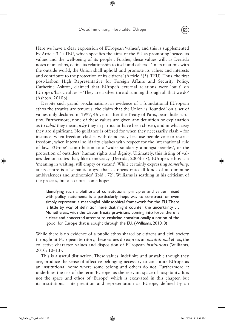Here we have a clear expression of EUropean 'values', and this is supplemented by Article 3(1) TEU, which specifies the aims of the EU as promoting 'peace, its values and the well-being of its people'. Further, these values will, as Derrida notes of an ethos, define its relationship to itself and others – 'In its relations with the outside world, the Union shall uphold and promote its values and interests and contribute to the protection of its citizens' (Article 3(5), TEU). Thus, the first post-Lisbon High Representative for Foreign Affairs and Security Policy, Catherine Ashton, claimed that EUrope's external relations were 'built' on EUrope's 'basic values' – 'They are a silver thread running through all that we do' (Ashton, 2010b).

Despite such grand proclamations, as evidence of a foundational EUropean ethos the treaties are tenuous: the claim that the Union is 'founded' on a set of values only declared in 1997, 46 years after the Treaty of Paris, bears little scrutiny. Furthermore, none of these values are given any definition or explanation as to *what* they mean, *why* they in particular have been chosen, and in what *way* they are significant. No guidance is offered for when they necessarily clash – for instance, when freedom clashes with democracy because people vote to restrict freedom; when internal solidarity clashes with respect for the international rule of law, EUrope's contribution to a 'wider solidarity amongst peoples', or the protection of outsiders' human rights and dignity. Ultimately, this listing of values demonstrates that, like democracy (Derrida, 2005b: 8), EUrope's ethos is a 'meaning in waiting, still empty or vacant'. While certainly expressing *something*, at its centre is a 'semantic abyss that … opens onto all kinds of autoimmune ambivalences and antinomies' (ibid.: 72). Williams is scathing in his criticism of the process, but also notes some hope:

Identifying such a plethora of constitutional principles and values mixed with policy statements is a particularly inept way to construct, or even simply represent, a meaningful philosophical framework for the EU. There is little by way of definition here that might counter the uncertainty … Nonetheless, with the Lisbon Treaty provisions coming into force, there is a clear and concerted attempt to enshrine constitutionally a notion of the 'good' for Europe that is sought through the EU. (Williams, 2010: 8)

While there is no evidence of a public ethos shared by citizens and civil society throughout EUropean territory, these values do express an *institutional* ethos, the collective character, values and disposition of EUropean *institutions* (Williams, 2010: 10–13).

This is a useful distinction. These values, indefinite and unstable though they are, produce the sense of affective belonging necessary to constitute EUrope as an institutional home where some belong and others do not. Furthermore, it underlines the use of the term 'EUrope' as the relevant space of hospitality. It is not the space and ethos of 'Europe' which is excavated in this chapter, but its institutional interpretation and representation as EUrope, defined by an

06\_Bulley\_Ch\_05.indd 123 10/1/2016 5:16:31 PM

◈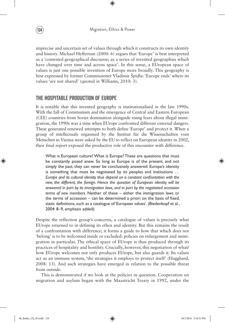imprecise and uncertain set of values through which it constructs its own identity and history. Michael Heffernan (2000: 6) argues that 'Europe' is best interpreted as a 'contested geographical discourse; as a series of invented geographies which have changed over time and across space'. In this sense, a EUropean space of values is just one possible invention of Europe more broadly. This geography is best expressed by former Commissioner Vladimir Špidla: 'Europe ends' where its values 'are not shared' (quoted in Williams, 2010: 3).

# The Hospitable Production of EUrope

It is notable that this invented geography is institutionalised in the late 1990s. With the fall of Communism and the emergence of Central and Eastern European (CEE) countries from Soviet domination alongside rising fears about illegal immigration, the 1990s was a time when EUrope confronted different external dangers. These generated renewed attempts to both define 'Europe' and *protect* it. When a group of intellectuals organised by the Institut für die Wissenschaften vom Menschen in Vienna were asked by the EU to reflect on European identity in 2002, their final report exposed the productive role of this encounter with difference.

What is European culture? What is Europe? These are questions that must be constantly posed anew. So long as Europe is of the present, and not simply the past, they can never be conclusively answered. Europe's identity is something that must be negotiated by its peoples and institutions … *Europe and its cultural identity thus depend on a constant confrontation with the new, the different, the foreign. Hence the question of European identity will be answered in part by its immigration laws, and in part by the negotiated accession terms of new members.* Neither of these – either the immigration laws or the terms of accession – can be determined a priori on the basis of fixed, static definitions, such as a catalogue of 'European values'. (Biedenkopf et al., 2004: 8–9, emphasis added)

Despite the reflection group's concerns, a catalogue of values is precisely what EUrope returned to in defining its ethos and identity. But this remains the result of a confrontation with difference; it forms a guide to how that which does not 'belong' is to be welcomed inside or excluded: policies on enlargement and immigration in particular. The ethical space of EUrope is thus produced through its practices of hospitality and hostility. Crucially, however, this negotiation of what/ how EUrope welcomes not only produces EUrope, but also guards it. Its values act as an immune system, 'the strategies it employs to protect itself' (Hagglund, 2008: 13). And such strategies have emerged in relation to the possible threat from outside.

This is demonstrated if we look at the policies in question. Cooperation on migration and asylum began with the Maastricht Treaty in 1992, under the

◈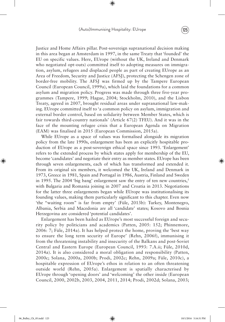# (Auto)Immunising Hospitality: EUrope (125)

⊕

Justice and Home Affairs pillar. Post-sovereign supranational decision making in this area began at Amsterdam in 1997, in the same Treaty that 'founded' the EU on specific values. Here, EUrope (without the UK, Ireland and Denmark who negotiated opt-outs) committed itself to adopting measures on immigration, asylum, refugees and displaced people as part of creating EUrope as an Area of Freedom, Security and Justice (AFSJ), protecting the Schengen zone of border-free mobility. The AFSJ was firmed up by the Tampere European Council (European Council, 1999a), which laid the foundations for a common asylum and migration policy. Progress was made through three five-year programmes (Tampere, 1999; Hague, 2004; Stockholm, 2010), and the Lisbon Treaty, agreed in 2007, brought residual areas under supranational law-making. EUrope committed itself to 'a common policy on asylum, immigration and external border control, based on solidarity between Member States, which is fair towards third-country nationals' (Article 67(2) TFEU). And it was in the face of the mounting refugee crisis that a European Agenda on Migration (EAM) was finalised in 2015 (European Commission, 2015a).

While EUrope as a space of values was formalised alongside its migration policy from the late 1990s, enlargement has been an explicitly hospitable production of EUrope as a post-sovereign ethical space since 1993. 'Enlargement' refers to the extended process by which states apply for membership of the EU, become 'candidates' and negotiate their entry as member states. EUrope has been through seven enlargements, each of which has transformed and extended it. From its original six members, it welcomed the UK, Ireland and Denmark in 1973, Greece in 1981, Spain and Portugal in 1986, Austria, Finland and Sweden in 1995. The 2004 'big bang' enlargement saw the entry of ten new countries,<sup>5</sup> with Bulgaria and Romania joining in 2007 and Croatia in 2013. Negotiations for the latter three enlargements began while EUrope was institutionalising its founding values, making them particularly significant to this chapter. Even now 'the "waiting room" is far from empty' (Füle, 2013b): Turkey, Montenegro, Albania, Serbia and Macedonia are all 'candidate' states; Kosovo and Bosnia Herzegovina are considered 'potential candidates'.

Enlargement has been hailed as EUrope's most successful foreign and security policy by politicians and academics (Patten, 2005: 152; Phinnemore, 2006: 7; Füle, 2014a). It has helped protect the home, proving the 'best way to ensure the long term security of Europe' (Rehn, 2006f), immunising it from the threatening instability and insecurity of the Balkans and post-Soviet Central and Eastern Europe (European Council, 1993: 7.A.ii; Füle, 2010d, 2014a). It is also considered a moral obligation and responsibility (Patten, 2000c; Solana, 2000a, 2000b; Prodi, 2002c; Rehn, 2009a; Füle, 2010c), a hospitable expression of EUrope's ethos in relation to an often threatening outside world (Rehn, 2005a). Enlargement is spatially characterised by EUrope through 'opening doors' and 'welcoming' the other inside (European Council, 2000, 2002b, 2003, 2004, 2011, 2014; Prodi, 2002d; Solana, 2003;

◈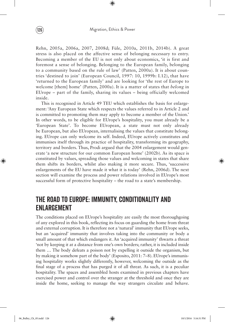Rehn, 2005a, 2006a, 2007, 2008d; Füle, 2010a, 2011b, 2014b). A great stress is also placed on the affective sense of belonging necessary to entry. Becoming a member of the EU is not only about economics, 'it is first and foremost a sense of belonging. Belonging to the European family, belonging to a community based on the rule of law' (Patten, 2000a). It is about countries 'destined to join' (European Council, 1997: 10, 1999b: I.12), that have 'returned to the European family' and are looking for 'the rest of Europe to welcome [them] home' (Patten, 2000a). It is a matter of states that *belong* in EUrope – part of the family, sharing its values – being officially welcomed inside.

This is recognised in Article 49 TEU which establishes the basis for enlargement: 'Any European State which respects the values referred to in Article 2 and is committed to promoting them may apply to become a member of the Union.' In other words, to be eligible for EUrope's hospitality, you must already be a 'European State'. To become EUropean, a state must not only already be European, but also EUropean, internalising the values that constitute belonging. EUrope can only welcome its self. Indeed, EUrope actively constitutes and immunises itself through its practice of hospitality, transforming its geography, territory and borders. Thus, Prodi argued that the 2004 enlargement would generate 'a new structure for our common European home' (2002b). As its space is constituted by values, spreading those values and welcoming in states that share them shifts its borders, whilst also making it more secure. Thus, 'successive enlargements of the EU have made it what it is today' (Rehn, 2006d). The next section will examine the process and power relations involved in EUrope's most successful form of protective hospitality – the road to a state's membership.

# The Road to EUrope: Immunity, Conditionality and Enlargement

The conditions placed on EUrope's hospitality are easily the most thoroughgoing of any explored in this book, reflecting its focus on guarding the home from threat and external corruption. It is therefore not a 'natural' immunity that EUrope seeks, but an 'acquired' immunity that involves taking into the community or body a small amount of that which endangers it. An 'acquired immunity' thwarts a threat 'not by keeping it at a distance from one's own borders; rather, it is included inside them … The body defeats a poison not by expelling it outside the organism, but by making it somehow part of the body' (Esposito, 2011: 7–8). EUrope's immunising hospitality works slightly differently, however, welcoming the outside as the final stage of a process that has purged it of all threat. As such, it is a peculiar hospitality. The spaces and assembled hosts examined in previous chapters have exercised power and control over the stranger at the threshold and once they are inside the home, seeking to manage the way strangers circulate and behave.

◈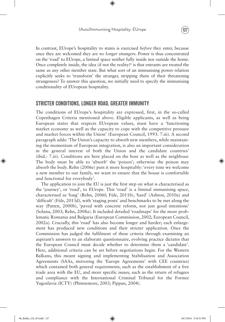# (Auto)Immunising Hospitality: EUrope (127)

⊕



In contrast, EUrope's hospitality to states is exercised *before* they enter, because once they are welcomed they are *no longer strangers*. Power is thus concentrated on the 'road' to EUrope, a liminal space neither fully inside nor outside the home. Once completely inside, the idea (if not the reality) $\epsilon$  is that entrants are treated the same as any other member state. But what sort of an immunising power relation explicitly seeks to 'transform' the stranger, stripping them of their threatening strangeness? To answer this question, we initially need to specify the immunising conditionality of EUropean hospitality.

# Stricter Conditions, Longer Road, Greater Immunity

The conditions of EUrope's hospitality are expressed, first, in the so-called Copenhagen Criteria mentioned above. Eligible applicants, as well as being European states that respects EUropean values, must have a 'functioning market economy as well as the capacity to cope with the competitive pressure and market forces within the Union' (European Council, 1993: 7.iii). A second paragraph adds: 'The Union's capacity to absorb new members, while maintaining the momentum of European integration, is also an important consideration in the general interest of both the Union and the candidate countries' (ibid.: 7.iii). Conditions are here placed on the host as well as the neighbour. The body must be able to 'absorb' the 'poison'; otherwise the poison may absorb the body. Rehn (2006e) puts it more hospitably: 'every time we welcome a new member to our family, we want to ensure that the house is comfortable and functional for everybody'.

The application to join the EU is just the first step on what is characterised as the 'journey', or 'road', to EUrope. This 'road' is a liminal immunising space, characterised as 'long' (Rehn, 2006f; Füle, 2011b), 'hard' (Ashton, 2010a) and 'difficult' (Füle, 2013d), with 'staging posts' and benchmarks to be met along the way (Patten, 2000b), 'paved with concrete reform, not just good intentions' (Solana, 2003; Rehn, 2008a). It included detailed 'roadmaps' for the more problematic Romania and Bulgaria (European Commission, 2002; European Council, 2002a). Crucially, this 'road' has also become longer and harder; each enlargement has produced new conditions and their stricter application. Once the Commission has judged the fulfilment of these criteria through examining an aspirant's answers to an elaborate questionnaire, evolving practice dictates that the European Council must decide whether to determine them a 'candidate'. Here, additional criteria can be set before negotiations begin. For the Western Balkans, this meant signing and implementing Stabilisation and Association Agreements (SAAs, mirroring the 'Europe Agreements' with CEE countries) which contained both general requirements, such as the establishment of a free trade area with the EU, and more specific issues, such as the return of refugees and compliance with the International Criminal Tribunal for the Former Yugoslavia (ICTY) (Phinnemore, 2003; Pippan, 2004).

◈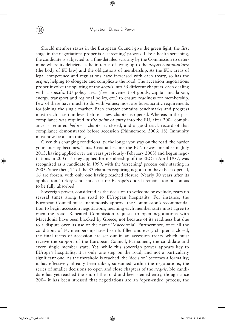# $\left( 128\right)$  Migration, Ethics & Power

⊕

Should member states in the European Council give the green light, the first stage in the negotiations proper is a 'screening' process. Like a health screening, the candidate is subjected to a fine-detailed scrutiny by the Commission to determine where its deficiencies lie in terms of living up to the *acquis communitaire* (the body of EU law) and the obligations of membership. As the EU's areas of legal competence and regulations have increased with each treaty, so has the *acquis*, helping to elongate and complicate the road. The accession negotiations proper involve the splitting of the *acquis* into 35 different chapters, each dealing with a specific EU policy area (free movement of goods, capital and labour, energy, transport and regional policy, etc.) to ensure readiness for membership. Few of these have much to do with values; most are bureaucratic requirements for joining the single market. Each chapter contains benchmarks and progress must reach a certain level before a new chapter is opened. Whereas in the past compliance was required *at the point of entry* into the EU, after 2004 compliance is required *before* a chapter is closed, and a good track record of that compliance demonstrated before accession (Phinnemore, 2006: 18). Immunity must now be a sure thing.

Given this changing conditionality, the longer you stay on the road, the harder your journey becomes. Thus, Croatia became the EU's newest member in July 2013, having applied over ten years previously (February 2003) and begun negotiations in 2005. Turkey applied for membership of the EEC in April 1987, was recognised as a candidate in 1999, with the 'screening' process only starting in 2005. Since then, 14 of the 33 chapters requiring negotiation have been opened, 16 are frozen, with only one having reached closure. Nearly 30 years after its application, Turkey is not much nearer EUrope's door. It remains too poisonous to be fully absorbed.

Sovereign power, considered as the decision to welcome or exclude, rears up several times along the road to EUropean hospitality. For instance, the European Council must unanimously approve the Commission's recommendation to begin accession negotiations, meaning each member state must agree to open the road. Repeated Commission requests to open negotiations with Macedonia have been blocked by Greece, not because of its readiness but due to a dispute over its use of the name 'Macedonia'. Furthermore, once all the conditions of EU membership have been fulfilled and every chapter is closed, the final terms of accession are set out in an accession treaty which must receive the support of the European Council, Parliament, the candidate and every single member state. Yet, while this sovereign power appears key to EUrope's hospitality, it is only one step on the road, and not a particularly significant one. As the threshold is reached, the 'decision' becomes a formality; it has effectively already been taken, subsumed within the negotiations, the series of smaller decisions to open and close chapters of the *acquis*. No candidate has yet reached the end of the road and been denied entry, though since 2004 it has been stressed that negotiations are an 'open-ended process, the

⊕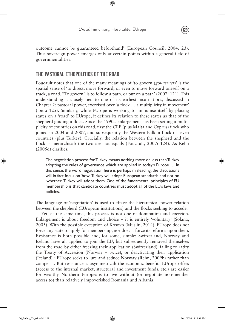outcome cannot be guaranteed beforehand' (European Council, 2004: 23). Thus sovereign power emerges only at certain points within a general field of governmentalities.

# The Pastoral Ethopolitics of the Road

Foucault notes that one of the many meanings of 'to govern (*gouverner*)' is the spatial sense of 'to direct, move forward, or even to move forward oneself on a track, a road. "To govern" is to follow a path, or put on a path' (2007: 121). This understanding is closely tied to one of its earliest incarnations, discussed in Chapter 2: pastoral power, exercised over 'a flock … a multiplicity in movement' (ibid.: 125). Similarly, while EUrope is working to immunise itself by placing states on a 'road' to EUrope, it defines its relation to these states as that of the shepherd guiding a flock. Since the 1990s, enlargement has been setting a multiplicity of countries on this road, first the CEE (plus Malta and Cyprus) flock who joined in 2004 and 2007, and subsequently the Western Balkan flock of seven countries (plus Turkey). Crucially, the relation between the shepherd and the flock is hierarchical: the two are not equals (Foucault, 2007: 124). As Rehn (2005d) clarifies:

The negotiation process for Turkey means nothing more or less than Turkey adopting the rules of governance which are applied in today's Europe … In this sense, the word negotiation here is perhaps misleading; the discussions will in fact focus on 'how' Turkey will adopt European standards and not on 'whether' Turkey will adopt them. One of the fundamental principles of EU membership is that candidate countries must adopt all of the EU's laws and policies.

The language of 'negotiation' is used to efface the hierarchical power relation between the shepherd (EUropean institutions) and the flocks seeking to accede.

Yet, at the same time, this process is not one of domination and coercion. Enlargement is about freedom and choice – it is entirely 'voluntary' (Solana, 2005). With the possible exception of Kosovo (Musliu, 2014), EUrope does not force any state to apply for membership, nor does it force its reforms upon them. Resistance is both possible and, for some, simple: Switzerland, Norway and Iceland have all applied to join the EU, but subsequently removed themselves from the road by either freezing their application (Switzerland), failing to ratify the Treaty of Accession (Norway – twice), or deactivating their application (Iceland).<sup>7</sup> EUrope seeks to lure and seduce Norway (Rehn, 2009b) rather than compel it. But resistance is asymmetrical: the economic benefits EUrope offers (access to the internal market, structural and investment funds, etc.) are easier for wealthy Northern Europeans to live without (or negotiate non-member access to) than relatively impoverished Romania and Albania.

◈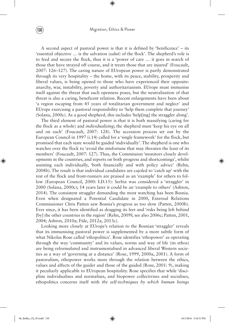(130) Migration, Ethics & Power

⊕

A second aspect of pastoral power is that it is defined by 'benificence' – its 'essential objective … is the salvation (*salut*) of the flock'. The shepherd's role is to feed and secure the flock, thus it is a 'power of care … it goes in search of those that have strayed off course, and it treats those that are injured' (Foucault, 2007: 126–127). The caring nature of EUropean power is partly demonstrated through its very hospitality – the home, with its peace, stability, prosperity and liberal values, is being opened to those who have experienced their opposite: anarchy, war, instability, poverty and authoritarianism. EUrope must immunise itself against the threat that such openness poses, but the neutralisation of that threat is also a caring, beneficent relation. Recent enlargements have been about 'a region escaping from 45 years of totalitarian government and neglect' and EUrope exercising a pastoral responsibility to 'help them complete that journey' (Solana, 2000c). As a good shepherd, this includes 'help[ing] the straggler along'.

The third element of pastoral power is that it is both massifying (caring for the flock as a whole) and *individualising*; the shepherd must 'keep his eye on all and on each' (Foucault, 2007: 128). The accession process set out by the European Council in 1997 (i.14) called for a 'single framework' for the flock, but promised that each state would be guided 'individually'. The shepherd is one who watches over the flock to 'avoid the misfortune that may threaten the least of its members' (Foucault, 2007: 127). Thus, the Commission 'monitors closely developments in the countries, and reports on both progress and shortcomings', whilst assisting each individually, 'both financially and with policy advice' (Rehn, 2008b). The result is that individual candidates are cajoled to 'catch up' with the rest of the flock and front-runners are praised as an 'example' for others to follow (European Council, 2000: I.D.15): Serbia was considered a 'straggler' in 2000 (Solana, 2000c); 14 years later it could be an 'example to others' (Ashton, 2014). The consistent straggler demanding the most watching has been Bosnia. Even when designated a Potential Candidate in 2000, External Relations Commissioner Chris Patten saw Bosnia's progress as too slow (Patten, 2000b). Ever since, it has been identified as dragging its feet and 'risks being left behind [by] the other countries in the region' (Rehn, 2009f; see also 2006c; Patten, 2001, 2004; Ashton, 2010a; Füle, 2012a, 2013c).

Looking more closely at EUrope's relation to the Bosnian 'straggler' reveals that its immunising pastoral power is supplemented by a more subtle form of what Nikolas Rose called 'ethopolitics'. Rose identifies 'ethopower' as operating through the way 'community' and its values, norms and way of life (its ethos) are being reformulated and instrumentalised in advanced liberal Western societies as a way of 'governing at a distance' (Rose, 1999, 2000a, 2001). A form of pastoralism, ethopower works more through the relation between the ethics, values and affects of the guider and those of the guided (Rose, 2001: 9), making it peculiarly applicable to EUropean hospitality. Rose specifies that while 'discipline individualises and normalises, and biopower collectivises and socialises, ethopolitics concerns itself with *the self-techniques by which human beings*

◈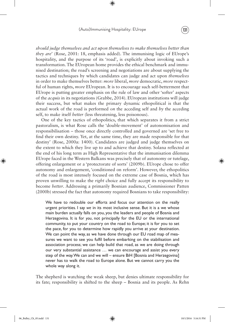# (Auto)Immunising Hospitality: EUrope 131

⊕

*should judge themselves and act upon themselves to make themselves better than they are*' (Rose, 2001: 18, emphasis added). The immunising logic of EUrope's hospitality, and the purpose of its 'road', is explicitly about invoking such a transformation. The EUropean home provides the ethical benchmark and immunised destination; the road's screening and negotiations are about supplying the tactics and techniques by which candidates can judge and act upon *themselves* in order to make themselves better: *more* liberal, *more* democratic, *more* respectful of human rights, *more* EUropean. It is to encourage such self-betterment that EUrope is putting greater emphasis on the rule of law and other 'softer' aspects of the *acquis* in its negotiations (Grabbe, 2014). EUropean institutions will judge their success, but what makes the primary dynamic ethopolitical is that the actual work of the road is performed *on* the acceding self and *by* the acceding self, to make itself *better* (less threatening, less poisonous).

One of the key tactics of ethopolitics, that which separates it from a strict pastoralism, is what Rose calls the 'double-movement' of autonomisation and responsibilisation – those once directly controlled and governed are 'set free to find their own destiny. Yet, at the same time, they are made responsible for that destiny' (Rose, 2000a: 1400). Candidates are judged and judge themselves on the extent to which they live up to and achieve that destiny. Solana reflected at the end of his long term as High Representative that the immunisation dilemma EUrope faced in the Western Balkans was precisely that of autonomy or tutelage, offering enlargement or a 'protectorate of sorts' (2009b). EUrope chose to offer autonomy and enlargement, 'conditioned on reform'. However, the ethopolitics of the road is most intensely focused on the extreme case of Bosnia, which has proven unwilling to make the *right* choice and fully accept its responsibility to become *better*. Addressing a primarily Bosnian audience, Commissioner Patten (2000b) stressed the fact that autonomy required Bosnians to take responsibility:

We have to redouble our efforts and focus our attention on the really urgent priorities. I say *we* in its most inclusive sense. But it is a we whose main burden actually falls on you, you the leaders and people of Bosnia and Herzegovina. It is for *you*, not principally for the EU or the international community, to put your country on the road to Europe; it is for you to set the pace, for you to determine how rapidly you arrive at your destination. We can point the way, as we have done through our EU road map of measures we want to see you fulfil before embarking on the stabilisation and association process; we can help build that road, as we are doing through our very substantial assistance … we can encourage and assist you every step of the way. We can and we will – ensure BiH [Bosnia and Herzegovina] never has to walk the road to Europe alone. But we cannot carry you the whole way along it.

The shepherd is watching the weak sheep, but denies ultimate responsibility for its fate; responsibility is shifted to the sheep – Bosnia and its people. As Rehn

◈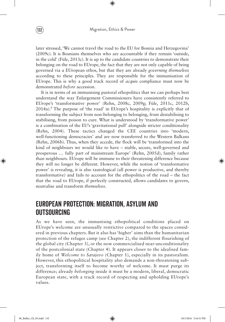later stressed, 'We cannot travel the road to the EU for Bosnia and Herzegovina' (2009c). It is Bosnians themselves who are accountable if they remain 'outside, in the cold' (Füle, 2013c). It is up to the candidate countries to demonstrate their belonging on the road to EUrope, the fact that they are not only capable of being governed via a EUropean ethos, but that they are already *governing themselves* according to these principles. They are responsible for the immunisation of EUrope. This is why a good track record of *acquis* compliance must now be demonstrated *before* accession.

It is in terms of an immunising pastoral ethopolitics that we can perhaps best understand the way Enlargement Commissioners have consistently referred to EUrope's 'transformative power' (Rehn, 2008c, 2009g; Füle, 2011c, 2012b, 2014a).8 The purpose of 'the road' in EUrope's hospitality is explicitly that of transforming the subject from non-belonging to belonging, from destabilising to stabilising, from poison to cure. What is understood by 'transformative power' is a combination of the EU's 'gravitational pull' alongside stricter conditionality (Rehn, 2004). These tactics changed the CEE countries into 'modern, well-functioning democracies' and are now transferred to the Western Balkans (Rehn, 2006b). Thus, when they accede, the flock will be 'transformed into the kind of neighbours we would like to have – stable, secure, well-governed and prosperous … fully part of mainstream Europe' (Rehn, 2005d), family rather than neighbours. EUrope will be immune to their threatening difference because they will no longer be different. However, while the notion of 'transformative power' is revealing, it is also tautological (all power is productive, and thereby transformative) and fails to account for the ethopolitics of the road – the fact that the road to EUrope, if perfectly constructed, allows candidates to govern, neutralise and transform *themselves*.

# European Protection: Migration, Asylum and **OUTSOURCING**

As we have seen, the immunising ethopolitical conditions placed on EUrope's welcome are unusually restrictive compared to the spaces considered in previous chapters. But it also has 'higher' aims than the humanitarian protection of the refugee camp (see Chapter 2), the indifferent flourishing of the global city (Chapter 3), or the now commercialised near-unconditionality of the postcolonial state (Chapter 4). It appears closer to the idealised family home of *Welcome to Sarajevo* (Chapter 1), especially in its pastoralism. However, this ethopolitical hospitality also demands a non-threatening subject, transforming itself to become worthy of welcome. It must purge its difference; already *belonging* inside it must be a modern, liberal, democratic European state, with a track record of respecting and upholding EUrope's values.

◈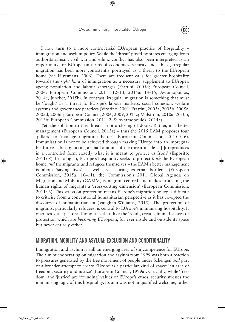# (Auto)Immunising Hospitality: EUrope (133

⊕

I now turn to a more controversial EUropean practice of hospitality – immigration and asylum policy. While the 'threat' posed by states emerging from authoritarianism, civil war and ethnic conflict has also been interpreted as an opportunity for EUrope (in terms of economics, security and ethics), irregular migration has been more consistently portrayed as a threat to the EUropean home (see Huysmans, 2006). There are frequent calls for greater hospitality towards the *right kind* of immigration as a necessary supplement to EUrope's ageing population and labour shortages (Frattini, 2005d; European Council, 2006; European Commission, 2011: 12–13, 2015a: 14–15; Avramopoulos, 2014c; Juncker, 2015b). In contrast, irregular migration is something that must be 'fought' as a threat to EUrope's labour markets, social cohesion, welfare systems and governance practices (Vitorino, 2001; Frattini, 2005a, 2005b, 2005c, 2005d, 2006b; European Council, 2006, 2009, 2015c; Malström, 2010a, 2010b, 2013b; European Commission, 2011: 2–5; Avramopoulos, 2014a).

Yet, the solution to this threat is not a closing of doors. Rather, it is better management (European Council, 2015a) – thus the 2015 EAM proposes four 'pillars' to 'manage migration better' (European Commission, 2015a: 6). Immunisation is not to be achieved through making EUrope into an impregnable fortress, but by taking a small amount of the threat inside – '[i]t reproduces in a controlled form exactly what it is meant to protect us from' (Esposito, 2011: 8). In doing so, EUrope's hospitality seeks to protect *both* the EUropean home *and* the migrants and refugees themselves – the EAM's better management is about 'saving lives' as well as 'securing external borders' (European Commission, 2015a: 10–11); the Commission's 2011 Global Agenda on Migration and Mobility (GAMM) is 'migrant centred' and makes protecting the human rights of migrants a 'cross-cutting dimension' (European Commission, 2011: 6). This stress on protection means EUrope's migration policy is difficult to criticise from a conventional humanitarian perspective as it has co-opted the discourse of humanitarianism (Vaughan-Williams, 2015). The protection of migrants, particularly refugees, is central to EUrope's immunising hospitality. It operates via a pastoral biopolitics that, like the 'road', creates liminal spaces of protection which are *becoming* EUropean, for ever inside and outside its space but never entirely either.

# Migration, Mobility and Asylum: Exclusion and Conditionality

Immigration and asylum is still an emerging area of (in)competence for EUrope. The aim of cooperating on migration and asylum from 1999 was both a reaction to pressures generated by the free movement of people under Schengen *and* part of a broader attempt to create EUrope as a particular kind of space: 'an area of freedom, security and justice' (European Council, 1999a). Crucially, while 'freedom' and 'justice' are 'founding' values of EUrope's ethos, security stresses the immunising logic of this hospitality. Its aim was not unqualified welcome, rather

06\_Bulley\_Ch\_05.indd 133 10/1/2016 5:16:31 PM

◈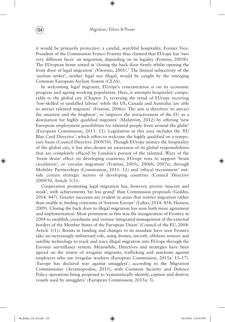it would be primarily *protective*: a careful, watchful hospitality. Former Vice-President of the Commission Franco Frattini thus claimed that EUrope has 'two very different faces' on migration, depending on its legality (Frattini, 2005b). The EUropean home aimed at 'closing the back door firmly whilst opening the front door of legal migration' (Vitorino, 2001).<sup>9</sup> The liminal subjectivity of the 'asylum seeker', neither legal nor illegal, would be caught by the emerging Common European Asylum System (CEAS).

In welcoming legal migrants, EUrope's concentration is on its economic progress and ageing working population. Here, it attempts hospitality comparable to the global city (Chapter 3), reversing the trend of EUrope receiving 'low-skilled or unskilled labour' while the US, Canada and Australia 'are able to attract talented migrants' (Frattini, 2006a). The aim is therefore 'to attract the smartest and the brightest', to 'improve the attractiveness of the EU as a destination for highly qualified migrants' (Malström, 2012) by offering 'new European employment possibilities for talented people from around the globe' (European Commission, 2011: 12). Legislation in this area includes the 'EU Blue Card Directive', which offers to welcome the highly qualified on a temporary basis (Council Directive 2009/50). Though EUrope mimics the hospitality of the global city, it has also shown an awareness of its global responsibilities that are completely effaced by London's pursuit of the talented. Wary of the 'brain drain' effect on developing countries, EUrope tries to support 'brain circulation', or 'circular migration' (Frattini, 2005c, 2006b, 2007a), through Mobility Partnerships (Commission, 2011: 12) and 'ethical recruitment' outside certain strategic sectors of developing countries (Council Directive 2009/50, Article 5(3)).

Cooperation promoting legal migration has, however, proven 'nascent and weak', with achievements 'far less grand' than Commission proposals (Geddes, 2014: 447). Greater successes are evident in areas that restrict migration rather than enable it, feeding criticisms of 'fortress Europe' (Lahav, 2014: 458; Hansen, 2009). Closing the back door to illegal migration has seen both more agreement and implementation. Most prominent in this was the inauguration of Frontex in 2004 to establish, coordinate and oversee 'integrated management of the external borders of the Member States of the European Union' (Council of the EU, 2004: Article 1(1)). Boosts in funding and changes to its mandate have seen Frontex take an increasingly militarised role, using drones, aircraft, offshore sensors and satellite technology to track and trace illegal migration into EUrope through the Eurosur surveillance system. Meanwhile, Directives and strategies have been agreed on the return of irregular migrants, trafficking and sanctions against employers who use irregular workers (European Commission, 2015a: 15–17). 'Europe has declared war against smugglers', according to the Migration Commissioner (Avramopoulos, 2015), with Common Security and Defence Policy operations being proposed to 'systematically identify, capture and destroy vessels used by smugglers' (European Commission, 2015a: 3).

◈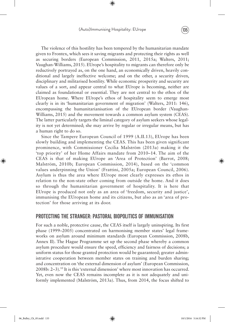# (Auto)Immunising Hospitality: EUrope (135)

⊕

The violence of this hostility has been tempered by the humanitarian mandate given to Frontex, which sees it saving migrants and protecting their rights as well as securing borders (European Commission, 2011, 2015a; Walters, 2011; Vaughan-Williams, 2015). EUrope's hospitality to migrants can therefore only be reductively portrayed as, on the one hand, an economically driven, heavily conditional and largely ineffective welcome; and on the other, a security driven, disciplinary and militarised hostility. While economic prosperity and security are values of a sort, and appear central to what EUrope is becoming, neither are claimed as foundational or essential. They are not central to the ethos of the EUropean home. Where EUrope's ethos of hospitality seem to emerge most clearly is in its 'humanitarian government of migration' (Walters, 2011: 146), encompassing the humanitarianisation of the EUropean border (Vaughan-Williams, 2015) and the movement towards a common asylum system (CEAS). The latter particularly targets the liminal category of asylum seekers whose legality is not yet determined; she may arrive by regular or irregular means, but has a human right to do so.

Since the Tampere European Council of 1999 (A.II.13), EUrope has been slowly building and implementing the CEAS. This has been given significant prominence, with Commissioner Cecilia Malström (2013a) making it the 'top priority' of her Home Affairs mandate from 2010–14. The aim of the CEAS is that of making EUrope an 'Area of Protection' (Barrot, 2008; Malström, 2010b; European Commission, 2014), based on the 'common values underpinning the Union' (Frattini, 2005a; European Council, 2006). Asylum is thus the area where EUrope most clearly expresses its ethos in relation to the non-state other coming from outside the home. And it does so through the humanitarian government of hospitality. It is here that EUrope is produced not only as an area of 'freedom, security and justice', immunising the EUropean home and its citizens, but also as an 'area of protection' for those arriving at its door.

# Protecting the Stranger: Pastoral Biopolitics of Immunisation

For such a noble, protective cause, the CEAS itself is largely uninspiring. Its first phase (1999–2005) concentrated on harmonising member states' legal frameworks on asylum around minimum standards (European Commission, 2008b, Annex II). The Hague Programme set up the second phase whereby a common asylum procedure would ensure the speed, efficiency and fairness of decisions; a uniform status for those granted protection would be guaranteed; greater administrative cooperation between member states on training and burden sharing; and concentration on 'the external dimension of asylum' (European Commission, 2008b: 2–3).10 It is this 'external dimension' where most innovation has occurred. Yet, even now the CEAS remains incomplete as it is not adequately and uniformly implemented (Malström, 2013a). Thus, from 2014, the focus shifted to

◈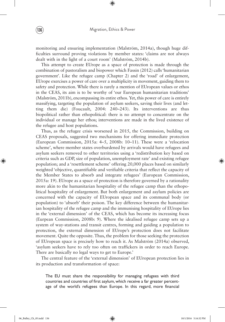monitoring and ensuring implementation (Malström, 2014a), though huge difficulties surround proving violations by member states: 'claims are not always dealt with in the light of a court room' (Malström, 2014b).

This attempt to create EUrope as a space of protection is made through the combination of pastoralism and biopower which Fassin (2012) calls 'humanitarian government'. Like the refugee camp (Chapter 2) and the 'road' of enlargement, EUrope exercises a power of care over a multiplicity in movement, guiding them to safety and protection. While there is rarely a mention of EUropean values or ethos in the CEAS, its aim is to be worthy of 'our European humanitarian traditions' (Malström, 2011b), encompassing its entire ethos. Yet, this power of care is entirely massifying, targeting the population of asylum seekers, saving their lives (and letting them die) (Foucault, 2004: 240–243). Its interventions are thus biopolitical rather than ethopolitical: there is no attempt to concentrate on the individual or manage her ethos; interventions are made in the lived existence of the refugee and host populations.

Thus, as the refugee crisis worsened in 2015, the Commission, building on CEAS proposals, suggested two mechanisms for offering immediate protection (European Commission, 2015a: 4–5, 2008b: 10–11). These were a 'relocation scheme', where member states overburdened by arrivals would have refugees and asylum seekers removed to other territories using a 'redistribution key based on criteria such as GDP, size of population, unemployment rate' and existing refugee population; and a 'resettlement scheme' offering 20,000 places based on similarly weighted 'objective, quantifiable and verifiable criteria that reflect the capacity of the Member States to absorb and integrate refugees' (European Commission, 2015a: 19). EUrope as a space of protection is therefore governed by a rationality more akin to the humanitarian hospitality of the refugee camp than the ethopolitical hospitality of enlargement. But both enlargement and asylum policies are concerned with the capacity of EUropean space and its communal body (or population) to 'absorb' their poison. The key difference between the humanitarian hospitality of the refugee camp and the immunising hospitality of EUrope lies in the 'external dimension' of the CEAS, which has become its increasing focus (Eurpean Commission, 2008b: 9). Where the idealised refugee camp sets up a system of way-stations and transit centres, forming and guiding a population to protection, the external dimension of EUrope's protection does not facilitate movement. Quite the opposite. Thus, the problem for those seeking the protection of EUropean space is precisely how to reach it. As Malström (2014a) observed, 'asylum seekers have to rely too often on traffickers in order to reach Europe. There are basically no legal ways to get to Europe.'

The central feature of the 'external dimension' of EUropean protection lies in its production and transformation of space:

The EU must share the responsibility for managing refugees with third countries and countries of first asylum, which receive a far greater percentage of the world's refugees than Europe. In this regard, more financial

◈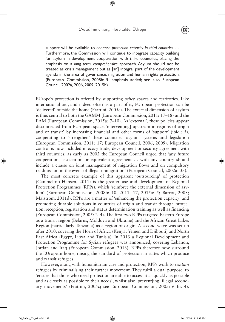### (Auto)Immunising Hospitality: EUrope (137

⊕



support will be available to *enhance protection capacity in third countries …* Furthermore, the Commission will continue to integrate capacity building for asylum in development cooperation with third countries, placing the emphasis on a *long term, comprehensive* approach. Asylum should not be treated as crisis management but as [an] integral part of the development agenda in the area of governance, migration and human rights protection. (European Commission, 2008b: 9, emphasis added; see also European Council, 2002a, 2006, 2009, 2015b)

EUrope's protection is offered by supporting *other* spaces and territories. Like international aid, and indeed often as a part of it, EUropean protection can be 'delivered' outside the home (Frattini, 2005c). The external dimension of asylum is thus central to both the GAMM (European Commission, 2011: 17–18) and the EAM (European Commission, 2015a: 7–10). As 'external', these policies appear disconnected from EUropean space, 'interven[ing] upstream in regions of origin and of transit' by increasing financial and other forms of 'support' (ibid.: 5), cooperating to 'strengthen' these countries' asylum systems and legislation (European Commission, 2011: 17; European Council, 2006, 2009). Migration control is now included in *every* trade, development or security agreement with third countries: as early as 2002 the European Council urged that 'any future cooperation, association or equivalent agreement … with any country should include a clause on joint management of migration flows and on compulsory readmission in the event of illegal immigration' (European Council, 2002a: 33).

The most concrete example of this apparent 'outsourcing' of protection (Gammeltoft-Hansen, 2011) is the greater use and development of Regional Protection Programmes (RPPs), which 'reinforce the external dimension of asylum' (European Commission, 2008b: 10, 2011: 17, 2015a: 5; Barrot, 2008; Malström, 2011d). RPPs are a matter of 'enhancing the protection capacity' and promoting durable solutions in countries of origin and transit through protection, reception, registration and status determination training as well as financing (European Commission, 2005: 2–4). The first two RPPs targeted Eastern Europe as a transit region (Belarus, Moldova and Ukraine) and the African Great Lakes Region (particularly Tanzania) as a region of origin. A second wave was set up after 2010, covering the Horn of Africa (Kenya, Yemen and Djibouti) and North East Africa (Egypt, Libya and Tunisia). In 2013 a Regional Development and Protection Programme for Syrian refugees was announced, covering Lebanon, Jordan and Iraq (European Commission, 2013). RPPs therefore now surround the EUropean home, raising the standard of protection in states which produce and transit refugees.

However, along with humanitarian care and protection, RPPs work to *contain*  refugees by criminalising their further movement. They fulfil a dual purpose: to 'ensure that those who need protection are able to access it as quickly as possible and as closely as possible to their needs', whilst also 'prevent[ing] illegal secondary movements' (Frattini, 2005c; see European Commission, 2005: 6 fn. 4).

◈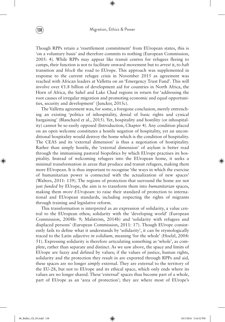Though RPPs retain a 'resettlement commitment' from EUropean states, this is 'on a voluntary basis' and therefore commits to nothing (European Commission, 2005: 4). While RPPs may appear like transit centres for refugees fleeing to camps, their function is not to facilitate onward movement but to *arrest* it, to *halt*  transition and *block* the road to EUrope. This approach was supplemented in response to the current refugee crisis in November 2015 as agreement was reached with African leaders at Valletta on an 'Emergency Trust Fund'. This will involve over €1.8 billion of development aid for countries in North Africa, the Horn of Africa, the Sahel and Lake Chad regions in return for 'addressing the root causes of irregular migration and promoting economic and equal opportunities, security and development' (Juncker, 2015c).

The Valletta agreement was, for some, a foregone conclusion, merely entrenching an existing 'politics of inhospitality, denial of basic rights and cynical bargaining' (Blanchard et al., 2015). Yet, hospitality and hostility (or inhospitality) cannot be so easily opposed (Introduction, Chapter 4). Any condition placed on an open welcome constitutes a hostile negation of hospitality, yet an unconditional hospitality would destroy the home which is the condition of hospitality. The CEAS and its 'external dimension' is thus a negotiation of hostipitality. Rather than simply hostile, the 'external dimension' of asylum is better read through the immunising pastoral biopolitics by which EUrope practises its hospitality. Instead of welcoming refugees into the EUropean home, it seeks a minimal transformation in areas that produce and transit refugees, making them more EUropean. It is thus important to recognise 'the ways in which the exercise of humanitarian power is connected with the actualization of new spaces' (Walters, 2011: 139). The regions of protection that surround the home are not just *funded* by EUrope, the aim is to transform them into *humanitarian* spaces, making them *more EUropean*: to raise their standard of protection to international and EUropean standards, including respecting the rights of migrants through training and legislative reform.

This transformation is interpreted as an expression of solidarity, a value central to the EUropean ethos; solidarity with the 'developing world' (European Commission, 2008b: 9; Malström, 2014b) and 'solidarity with refugees and displaced persons' (European Commission, 2011: 17). Though EUrope consistently fails to define what it understands by 'solidarity', it can be etymologically traced to the Latin adjective *in solidium*, meaning 'for the whole' (Hoelzl, 2004: 51). Expressing solidarity is therefore articulating something as 'whole', as complete, rather than separate and distinct. As we saw above, the space and limits of EUrope are fuzzy and defined by values; if the values of justice, human rights, solidarity and the protection they result in are exported through RPPs and aid, these spaces are no longer *simply* external. They are external to the territory of the EU-28, but not to EUrope and its ethical space, which only ends where its values are no longer shared. These 'external' spaces thus become part of a whole, part of EUrope as an 'area of protection'; they are where most of EUrope's

◈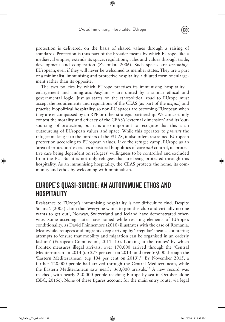protection is delivered, on the basis of shared values through a raising of standards. Protection is thus part of the broader means by which EUrope, like a mediaeval empire, extends its space, regulations, rules and values through trade, development and cooperation (Zielonka, 2006). Such spaces are *becoming*-EUropean, even if they will never be welcomed as member states. They are a part of a minimalist, immunising and protective hospitality, a diluted form of enlargement rather than its opposite.

The two policies by which EUrope practises its immunising hospitality – enlargement and immigration/asylum – are united by a similar ethical and governmental logic. Just as states on the ethopolitical road to EUrope must accept the requirements and regulations of the CEAS (as part of the *acquis*) and practise biopolitical hospitality, so non-EU spaces are becoming-EUropean when they are encompassed by an RPP or other strategic partnership. We can certainly contest the morality and efficacy of the CEAS's 'external dimension' and its 'outsourcing' of protection, but it is also important to recognise that this is an outsourcing of EUropean values and space. While this operates to *prevent* the refugee making it to the borders of the EU-28, it also offers restrained EUropean protection according to EUropean values. Like the refugee camp, EUrope as an 'area of protection' exercises a pastoral biopolitics of care *and* control, its protective care being dependent on refugees' willingness to be controlled and excluded from the EU. But it is not only refugees that are being protected through this hospitality. As an immunising hospitality, the CEAS protects the home, its community and ethos by welcoming with minimalism.

# Europe's Quasi-Suicide: An Autoimmune Ethos and **HOSPITALITY**

Resistance to EUrope's immunising hospitality is not difficult to find. Despite Solana's (2005) claim that 'everyone wants to join this club and virtually no one wants to get out', Norway, Switzerland and Iceland have demonstrated otherwise. Some acceding states have joined while resisting elements of EUrope's conditionality, as David Phinnemore (2010) illustrates with the case of Romania. Meanwhile, refugees and migrants keep arriving by 'irregular' means, countering attempts to 'ensure that mobility and migration can be organised in an orderly fashion' (European Commission, 2011: 15). Looking at the 'routes' by which Frontex measures illegal arrivals, over 170,000 arrived through the 'Central Mediterranean' in 2014 (up 277 per cent on 2013) and over 50,000 through the 'Eastern Mediterranean' (up 104 per cent on 2013).<sup>11</sup> By November 2015, a further 128,000 people had arrived through the Central Mediterranean, while the Eastern Mediterranean saw nearly 360,000 arrivals.12 A new record was reached, with nearly 220,000 people reaching Europe by sea in October alone (BBC, 2015c). None of these figures account for the main entry route, via legal

◈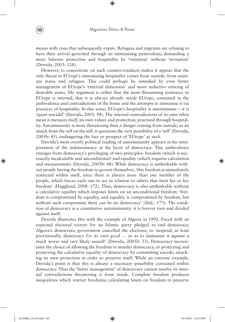means with visas that subsequently expire. Refugees and migrants are refusing to have their arrival governed through an immunising pastoralism, demanding a more fulsome protection and hospitality by 'visitation' without 'invitation' (Derrida, 2003: 128).

However, to concentrate on such counter-conducts makes it appear that the only threat to EUrope's immunising hospitality comes from outside: from resistant states and refugees. This could perhaps be remedied by even better management of EUrope's 'external dimension' and more seductive enticing of desirable states. My argument is rather that the most threatening resistance to EUrope is *internal*, that it is always already *inside* EUrope, contained in the ambivalence and contradictions of the home and the attempts to immunise it via practices of hospitality. In this sense, EUrope's hospitality is *auto*immune – it is 'quasi-suicidal' (Derrida, 2003: 94). The internal contradictions of its own ethos mean it menaces *itself*, its own values and protection, practised through hospitality. Autoimmunity is more threatening than a danger coming from outside; as an attack from the self on the self, it questions the very possibility of a 'self' (Derrida, 2005b: 45), endangering the fact or prospect of 'EUrope' *as such*.

Derrida's most overtly political reading of autoimmunity appears in his interpretation of the indeterminacy at the heart of democracy. This ambivalence emerges from democracy's privileging of two principles: freedom (which is necessarily incalculable and unconditional) and equality (which requires calculation and measurement) (Derrida, 2005b: 48). While democracy is unthinkable without people having the freedom to govern themselves, 'this freedom is immediately restricted within itself, since there is always more than one member of the people, which forces each one to act in relation to others that limit his or her freedom' (Hagglund, 2008: 172). Thus, democracy is also unthinkable without a calculative equality which imposes limits on an unconditional freedom: 'freedom is compromised by equality, and equality is compromised by freedom, but without such compromise there can be no democracy' (ibid.: 173). The condition of democracy is a constitutive autoimmunity: it is forever torn and divided against itself.

Derrida illustrates this with the example of Algeria in 1992. Faced with an expected electoral victory for an Islamic party pledged to end democracy, Algeria's democratic government cancelled the elections, to 'suspend, at least provisionally, democracy *for its own good …* so as to immunize it against a much worse and very likely assault' (Derrida, 2005b: 33). Democracy necessitates the choice of allowing the freedom to murder democracy, or protecting and preserving the calculative equality of democracy by committing suicide; attacking its own protection in order to preserve itself. While an extreme example, Derrida's point is that this is *always* a necessary possibility contained within democracy. Thus the 'better management' of democracy cannot resolve its internal contradictions threatening it from inside. Complete freedom produces inequalities which restrict freedoms; calculating limits on freedom to preserve

◈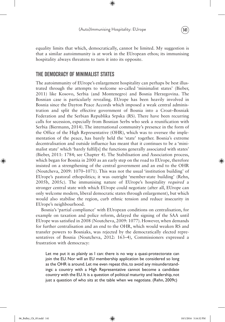### (Auto)Immunising Hospitality: EUrope (141)

⊕

equality limits that which, democratically, cannot be limited. My suggestion is that a similar autoimmunity is at work in the EUropean ethos; its immunising hospitality always threatens to turn it into its opposite.

# The Democracy of Minimalist States

The autoimmunity of EUrope's enlargement hospitality can perhaps be best illustrated through the attempts to welcome so-called 'minimalist states' (Bieber, 2011) like Kosovo, Serbia (and Montenegro) and Bosnia Herzegovina. The Bosnian case is particularly revealing. EUrope has been heavily involved in Bosnia since the Dayton Peace Accords which imposed a weak central administration and split the effective government of Bosnia into a Croat–Bosniak Federation and the Serbian Republika Srpska (RS). There have been recurring calls for secession, especially from Bosnian Serbs who seek a reunification with Serbia (Biermann, 2014). The international community's presence in the form of the Office of the High Representative (OHR), which was to oversee the implementation of the peace, has barely held the 'state' together. Bosnia's extreme decentralisation and outside influence has meant that it continues to be a 'minimalist state' which 'barely fulfil[s] the functions generally associated with states' (Bieber, 2011: 1784; see Chapter 4). The Stabilisation and Association process, which began for Bosnia in 2000 as an early step on the road to EUrope, therefore insisted on a strengthening of the central government and an end to the OHR (Noutcheva, 2009: 1070–1071). This was not the usual 'institution building' of EUrope's pastoral ethopolitics; it was outright 'member-state building' (Rehn, 2005b, 2005c). The immunising nature of EUrope's hospitality *required* a stronger central state with which EUrope could negotiate (after all, EUrope can only welcome modern, liberal democratic states through enlargement), but which would also stabilise the region, curb ethnic tension and reduce insecurity in EUrope's neighbourhood.

Bosnia's 'partial compliance' with EUropean conditions on centralisation, for example on taxation and police reform, delayed the signing of the SAA until EUrope was satisfied in 2008 (Noutcheva, 2009: 1077). However, when demands for further centralisation and an end to the OHR, which would weaken RS and transfer powers to Bosniaks, was rejected by the democratically elected representatives of Bosnia (Noutcheva, 2012: 163–4), Commissioners expressed a frustration with democracy:

Let me put it as plainly as I can: there is no way a quasi-protectorate can join the EU. Nor will an EU membership application be considered so long as the OHR is around. Let me even repeat this, to avoid any misunderstandings: a country with a High Representative cannot become a candidate country with the EU. It is a question of political maturity and leadership, not just a question of who sits at the table when we negotiate. (Rehn, 2009c)

◈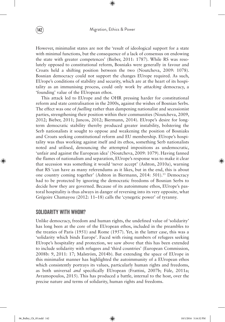However, minimalist states are not the 'result of ideological support for a state with minimal functions, but the consequence of a lack of consensus on endowing the state with greater competences' (Bieber, 2011: 1787). While RS was resolutely opposed to constitutional reform, Bosniaks were generally in favour and Croats held a shifting position between the two (Noutcheva, 2009: 1078). Bosnian democracy could not support the changes EUrope required. As such, EUrope's conditions of stability and security, which are at the heart of its hospitality as an immunising process, could only work by *attacking* democracy, a 'founding' value of the EUropean ethos.

This attack led to EUrope and the OHR pressing harder for constitutional reform and state centralisation in the 2000s, against the wishes of Bosnian Serbs. The effect was one of *fuelling* rather than dampening nationalist and secessionist parties, strengthening their position within their communities (Noutcheva, 2009, 2012; Bieber, 2011; Juncos, 2012; Biermann, 2014). EUrope's desire for longterm democratic stability thereby produced greater instability, bolstering the Serb nationalists it sought to oppose and weakening the position of Bosniaks and Croats seeking constitutional reform and EU membership. EUrope's hospitality was thus working against itself and its ethos, something Serb nationalists noted and utilised, denouncing the attempted impositions as undemocratic, 'unfair and against the European idea' (Noutcheva, 2009: 1079). Having fanned the flames of nationalism and separation, EUrope's response was to make it clear that secession was something it would 'never accept' (Ashton, 2010a), warning that RS 'can have as many referendums as it likes, but in the end, this is about one country coming together' (Ashton in Biermann, 2014: 501).<sup>13</sup> Democracy had to be protected by ignoring the democratic freedoms of Bosnian Serbs to decide how they are governed. Because of its autoimmune ethos, EUrope's pastoral hospitality is thus always in danger of reversing into its very opposite, what Grégoire Chamayou (2012: 11–18) calls the 'cynegetic power' of tyranny.

# Solidarity With Whom?

Unlike democracy, freedom and human rights, the undefined value of 'solidarity' has long been at the core of the EUropean ethos, included in the preambles to the treaties of Paris (1951) and Rome (1957). Yet, in the latter case, this was a 'solidarity which binds Europe'. Faced with rising numbers of refugees seeking EUrope's hospitality and protection, we saw above that this has been extended to include solidarity with refugees and 'third countries' (European Commission, 2008b: 9, 2011: 17; Malström, 2014b). But extending the space of EUrope in this minimalist manner has highlighted the autoimmunity of a EUropean ethos which consistently portrays its values, particularly human rights and freedoms, as both universal *and* specifically EUropean (Frattini, 2007b; Füle, 2011a; Avramopoulos, 2015). This has produced a battle, internal to the host, over the precise nature and terms of solidarity, human rights and freedoms.

◈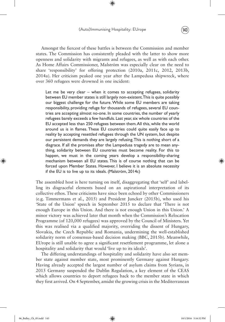# (Auto)Immunising Hospitality: EUrope (143)

⊕

Amongst the fiercest of these battles is between the Commission and member states. The Commission has consistently pleaded with the latter to show more openness and solidarity with migrants and refugees, as well as with each other. As Home Affairs Commissioner, Malström was especially clear on the need to share 'responsibility' for offering protection (2010a, 2011c, 2012, 2013b, 2014a). Her criticism peaked one year after the Lampedusa shipwreck, where over 360 refugees were drowned in one incident:

Let me be very clear – when it comes to accepting refugees, solidarity between EU member states is still largely non-existent. This is quite possibly our biggest challenge for the future. While some EU members are taking responsibility, providing refuge for thousands of refugees, several EU countries are accepting almost no-one. In some countries, the number of yearly refugees barely exceeds a few handfuls. Last year, six whole countries of the EU accepted less than 250 refugees between them. All this, while the world around us is in flames. These EU countries could quite easily face up to reality by accepting resettled refugees through the UN system, but despite our persistent demands they are largely refusing. This is nothing short of a disgrace. If all the promises after the Lampedusa tragedy are to mean anything, solidarity between EU countries must become reality. For this to happen, we must in the coming years develop a responsibility-sharing mechanism between all EU states. This is of course nothing that can be forced upon Member States. However, I believe it is an absolute necessity if the EU is to live up to its ideals. (Malström, 2014c)

The assembled host is here turning on itself, disaggregating that 'self' and labelling its disgraceful elements based on an aspirational interpretation of its collective ethos. These criticisms have since been echoed by other Commissioners (e.g. Timmermans et al., 2015) and President Juncker (2015b), who used his 'State of the Union' speech in September 2015 to declare that 'There is not enough Europe in this Union. And there is not enough Union in this Union.' A minor victory was achieved later that month when the Commission's Relocation Programme (of 120,000 refugees) was approved by the Council of Ministers. Yet this was realised via a qualified majority, overriding the dissent of Hungary, Slovakia, the Czech Republic and Romania, undermining the well-established solidarity norm of consensus-based decision making (BBC, 2015b). Meanwhile, EUrope is still unable to agree a significant resettlement programme, let alone a hospitality and solidarity that would 'live up to its ideals'.

The differing understandings of hospitality and solidarity have also set member state against member state, most prominently Germany against Hungary. Having already accepted the largest number of asylum claims from Syrians, in 2015 Germany suspended the Dublin Regulation, a key element of the CEAS which allows countries to deport refugees back to the member state in which they first arrived. On 4 September, amidst the growing crisis in the Mediterranean

◈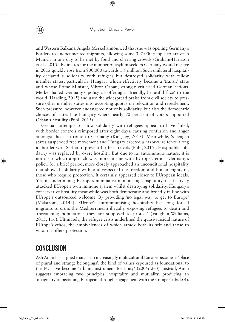and Western Balkans, Angela Merkel announced that she was opening Germany's borders to undocumented migrants, allowing some 3–7,000 people to arrive in Munich in one day to be met by food and cheering crowds (Graham-Harrison et al., 2015). Estimates for the number of asylum seekers Germany would receive in 2015 quickly rose from 800,000 towards 1.5 million. Such unilateral hospitality declared a solidarity with refugees but destroyed solidarity with fellow member states, particularly Hungary which effectively became a 'transit' state and whose Prime Minister, Viktor Orb**á**n, strongly criticised German actions. Merkel hailed Germany's policy as offering a 'friendly, beautiful face' to the world (Harding, 2015) and used the widespread praise from civil society to pressure other member states into accepting quotas on relocation and resettlement. Such pressure, however, endangered not only solidarity, but also the democratic choices of states like Hungary where nearly 70 per cent of voters supported Orb**á**n's hostility (Puhl, 2015).

German attempts to show solidarity with refugees appear to have failed, with border controls reimposed after eight days, causing confusion and anger amongst those en route to Germany (Kingsley, 2015). Meanwhile, Schengen states suspended free movement and Hungary erected a razor-wire fence along its border with Serbia to prevent further arrivals (Puhl, 2015). Hospitable solidarity was replaced by overt hostility. But due to its autoimmune nature, it is not clear which approach was more in line with EUrope's ethos. Germany's policy, for a brief period, more closely approached an unconditional hospitality that showed solidarity with, and respected the freedom and human rights of, those who require protection. It certainly appeared closer to EUropean ideals. Yet, in undermining EUrope's minimalist immunising hospitality, it effectively attacked EUrope's own immune system whilst destroying solidarity. Hungary's conservative hostility meanwhile was both democratic and broadly in line with EUrope's outsourced welcome. By providing 'no legal way to get to Europe' (Malström, 2014a), EUrope's autoimmunising hospitality has long forced migrants to cross the Mediterranean illegally, exposing refugees to death and 'threatening populations they are supposed to protect' (Vaughan-Williams, 2015: 116). Ultimately, the refugee crisis underlined the quasi-suicidal nature of EUrope's ethos, the ambivalences of which attack both its self and those to whom it offers protection.

# **CONCLUSION**

Ash Amin has argued that, as an increasingly multicultural Europe becomes a 'place of plural and strange belongings', the kind of values espoused as foundational to the EU have become 'a blunt instrument for unity' (2004: 2–3). Instead, Amin suggests embracing two principles, hospitality and mutuality, producing an 'imaginary of becoming European through engagement with the stranger' (ibid.: 4).

◈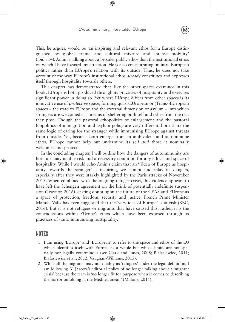This, he argues, would be 'an inspiring and relevant ethos for a Europe distinguished by global ethnic and cultural mixture and intense mobility' (ibid.: 14). Amin is talking about a broader public ethos than the institutional ethos on which I have focused my attention. He is also concentrating on intra-European politics rather than EUrope's relation with its outside. Thus, he does not take account of the way EUrope's institutional ethos *already* constitutes and expresses itself through hospitality towards others.

This chapter has demonstrated that, like the other spaces examined in this book, EUrope is both produced through its practices of hospitality and exercises significant power in doing so. Yet where EUrope differs from other spaces is its innovative use of *protective* space, forming quasi-EUropean or (Trans-)EUropean spaces – the road to EUrope and the external dimension of asylum – into which strangers are welcomed as a means of sheltering both self and other from the risk they pose. Though the pastoral ethopolitics of enlargement and the pastoral biopolitics of immigration and asylum policy are very different, both share the same logic of caring for the stranger while immunising EUrope against threats from outside. Yet, because both emerge from an ambivalent and autoimmune ethos, EUrope cannot help but undermine its self *and* those it nominally welcomes and protects.

In the concluding chapter, I will outline how the dangers of autoimmunity are both an unavoidable risk and a necessary condition for any ethics and space of hospitality. While I would echo Amin's claim that an '[i]dea of Europe as hospitality towards the stranger' is inspiring, we cannot underplay its dangers, especially after they were starkly highlighted by the Paris attacks of November 2015. When combined with the ongoing refugee crisis, this violence appears to have left the Schengen agreement on the brink of potentially indefinite suspension (Traynor, 2016), casting doubt upon the future of the CEAS and EUrope as a space of protection, freedom, security and justice. French Prime Minister Manuel Valls has even suggested that the 'very idea of Europe' is at risk (BBC, 2016). But it is not refugees or migrants that have caused this; rather, it is the contradictions within EUrope's ethos which have been exposed through its practices of (auto)immunising hostipitality.

# **NOTES**

◈

- 1 I am using 'EUrope' and' EUropean' to refer to the space and ethos of the EU which identifies itself with Europe as a whole but whose limits are not spatially nor legally coterminous (see Clark and Jones, 2008; Bialasiewicz, 2011; Bialasiewicz et al., 2012; Vaughan-Williams, 2015).
- 2 While all the migrants may not qualify as 'refugees' under the legal definition, I am following Al Jazeera's editorial policy of no longer talking about a 'migrant crisis' because the term is 'no longer fit for purpose when it comes to describing the horror unfolding in the Mediterranean' (Malone, 2015).

06\_Bulley\_Ch\_05.indd 145 10/1/2016 5:16:32 PM